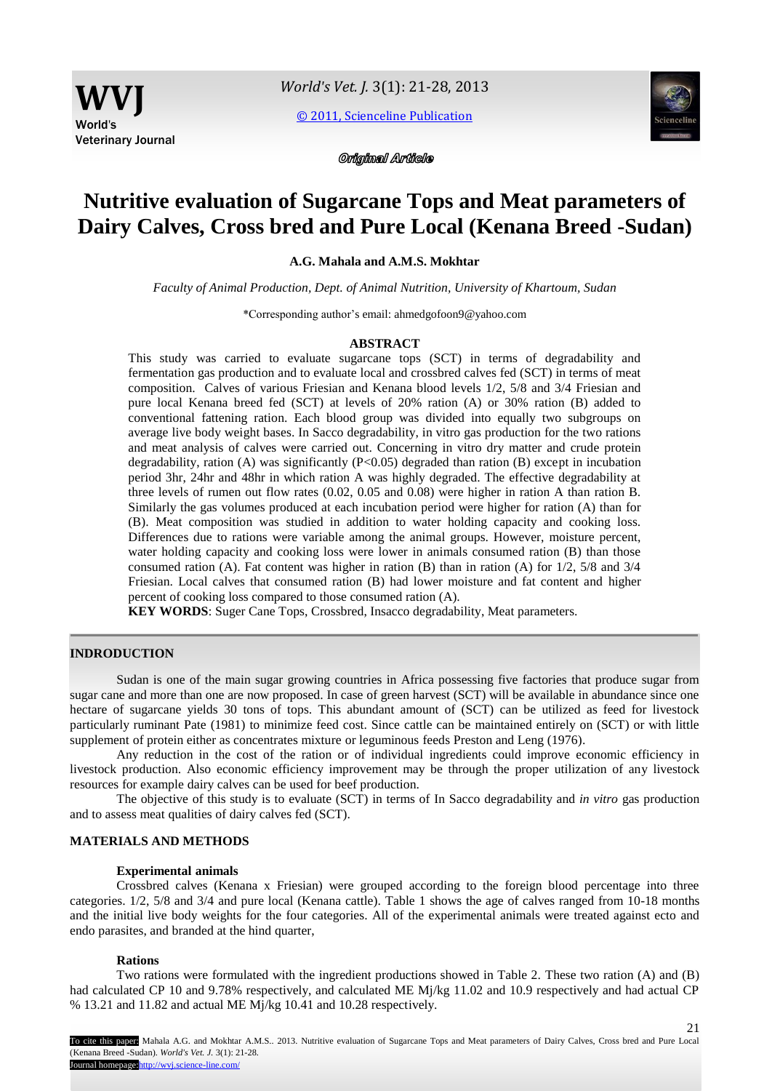[© 2011, Scienceline Publication](http://www.science-line.com/index/)



Original Article

# **Nutritive evaluation of Sugarcane Tops and Meat parameters of Dairy Calves, Cross bred and Pure Local (Kenana Breed -Sudan)**

**A.G. Mahala and A.M.S. Mokhtar**

*Faculty of Animal Production, Dept. of Animal Nutrition, University of Khartoum, Sudan*

\*Corresponding author's email: ahmedgofoon9@yahoo.com

# **ABSTRACT**

This study was carried to evaluate sugarcane tops (SCT) in terms of degradability and fermentation gas production and to evaluate local and crossbred calves fed (SCT) in terms of meat composition. Calves of various Friesian and Kenana blood levels 1/2, 5/8 and 3/4 Friesian and pure local Kenana breed fed (SCT) at levels of 20% ration (A) or 30% ration (B) added to conventional fattening ration. Each blood group was divided into equally two subgroups on average live body weight bases. In Sacco degradability, in vitro gas production for the two rations and meat analysis of calves were carried out. Concerning in vitro dry matter and crude protein degradability, ration (A) was significantly (P<0.05) degraded than ration (B) except in incubation period 3hr, 24hr and 48hr in which ration A was highly degraded. The effective degradability at three levels of rumen out flow rates (0.02, 0.05 and 0.08) were higher in ration A than ration B. Similarly the gas volumes produced at each incubation period were higher for ration (A) than for (B). Meat composition was studied in addition to water holding capacity and cooking loss. Differences due to rations were variable among the animal groups. However, moisture percent, water holding capacity and cooking loss were lower in animals consumed ration (B) than those consumed ration (A). Fat content was higher in ration (B) than in ration (A) for  $1/2$ ,  $5/8$  and  $3/4$ Friesian. Local calves that consumed ration (B) had lower moisture and fat content and higher percent of cooking loss compared to those consumed ration (A).

**KEY WORDS**: Suger Cane Tops, Crossbred, Insacco degradability, Meat parameters.

# **INDRODUCTION**

Sudan is one of the main sugar growing countries in Africa possessing five factories that produce sugar from sugar cane and more than one are now proposed. In case of green harvest (SCT) will be available in abundance since one hectare of sugarcane yields 30 tons of tops. This abundant amount of (SCT) can be utilized as feed for livestock particularly ruminant Pate (1981) to minimize feed cost. Since cattle can be maintained entirely on (SCT) or with little supplement of protein either as concentrates mixture or leguminous feeds Preston and Leng (1976).

Any reduction in the cost of the ration or of individual ingredients could improve economic efficiency in livestock production. Also economic efficiency improvement may be through the proper utilization of any livestock resources for example dairy calves can be used for beef production.

The objective of this study is to evaluate (SCT) in terms of In Sacco degradability and *in vitro* gas production and to assess meat qualities of dairy calves fed (SCT).

# **MATERIALS AND METHODS**

#### **Experimental animals**

Crossbred calves (Kenana x Friesian) were grouped according to the foreign blood percentage into three categories. 1/2, 5/8 and 3/4 and pure local (Kenana cattle). Table 1 shows the age of calves ranged from 10-18 months and the initial live body weights for the four categories. All of the experimental animals were treated against ecto and endo parasites, and branded at the hind quarter,

#### **Rations**

Two rations were formulated with the ingredient productions showed in Table 2. These two ration (A) and (B) had calculated CP 10 and 9.78% respectively, and calculated ME Mj/kg 11.02 and 10.9 respectively and had actual CP % 13.21 and 11.82 and actual ME Mj/kg 10.41 and 10.28 respectively.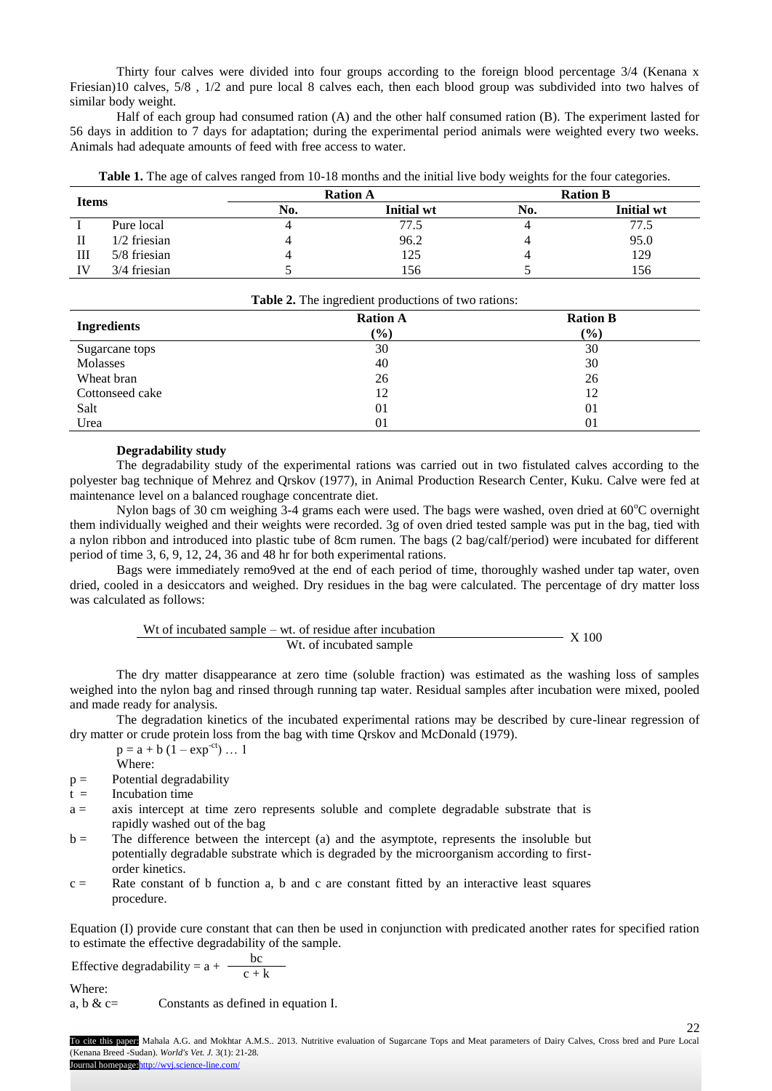Thirty four calves were divided into four groups according to the foreign blood percentage 3/4 (Kenana x Friesian)10 calves, 5/8 , 1/2 and pure local 8 calves each, then each blood group was subdivided into two halves of similar body weight.

Half of each group had consumed ration (A) and the other half consumed ration (B). The experiment lasted for 56 days in addition to 7 days for adaptation; during the experimental period animals were weighted every two weeks. Animals had adequate amounts of feed with free access to water.

| Table 1. The age of calves ranged from 10-18 months and the initial live body weights for the four categories. |  |
|----------------------------------------------------------------------------------------------------------------|--|
|                                                                                                                |  |

|    |                     |  | <b>Ration A</b>   | <b>Ration B</b> |                   |  |
|----|---------------------|--|-------------------|-----------------|-------------------|--|
|    | <b>Items</b><br>No. |  | <b>Initial</b> wt | No.             | <b>Initial wt</b> |  |
|    | Pure local          |  | 77.5              |                 | 77.5              |  |
| П  | $1/2$ friesian      |  | 96.2              |                 | 95.0              |  |
| Ш  | 5/8 friesian        |  | 125               |                 | 129               |  |
| IV | 3/4 friesian        |  | 156               |                 | 156               |  |

| <b>Ingredients</b> | <b>Ration A</b> | <b>Ration B</b> |
|--------------------|-----------------|-----------------|
|                    | $(\%)$          | $(\%)$          |
| Sugarcane tops     | 30              | 30              |
| Molasses           | 40              | 30              |
| Wheat bran         | 26              | 26              |
| Cottonseed cake    | 12              | 12              |
| Salt               | 0 <sub>1</sub>  | 01              |
| Urea               | 01              | 01              |

# **Degradability study**

The degradability study of the experimental rations was carried out in two fistulated calves according to the polyester bag technique of Mehrez and Qrskov (1977), in Animal Production Research Center, Kuku. Calve were fed at maintenance level on a balanced roughage concentrate diet.

Nylon bags of 30 cm weighing 3-4 grams each were used. The bags were washed, oven dried at 60°C overnight them individually weighed and their weights were recorded. 3g of oven dried tested sample was put in the bag, tied with a nylon ribbon and introduced into plastic tube of 8cm rumen. The bags (2 bag/calf/period) were incubated for different period of time 3, 6, 9, 12, 24, 36 and 48 hr for both experimental rations.

Bags were immediately remo9ved at the end of each period of time, thoroughly washed under tap water, oven dried, cooled in a desiccators and weighed. Dry residues in the bag were calculated. The percentage of dry matter loss was calculated as follows:

Wt of incubated sample – wt. of residue after incubation Wt. of incubated sample X 100

The dry matter disappearance at zero time (soluble fraction) was estimated as the washing loss of samples weighed into the nylon bag and rinsed through running tap water. Residual samples after incubation were mixed, pooled and made ready for analysis.

The degradation kinetics of the incubated experimental rations may be described by cure-linear regression of dry matter or crude protein loss from the bag with time Qrskov and McDonald (1979).

 $p = a + b (1 - exp^{-ct}) ... 1$ 

- Where:
- $p =$  Potential degradability
- $t =$  Incubation time
- a = axis intercept at time zero represents soluble and complete degradable substrate that is rapidly washed out of the bag
- b = The difference between the intercept (a) and the asymptote, represents the insoluble but potentially degradable substrate which is degraded by the microorganism according to firstorder kinetics.
- $c =$  Rate constant of b function a, b and c are constant fitted by an interactive least squares procedure.

Equation (I) provide cure constant that can then be used in conjunction with predicated another rates for specified ration to estimate the effective degradability of the sample.

Effective degradability =  $a + \frac{bc}{c + k}$ Where:

a, b & c= Constants as defined in equation I.

22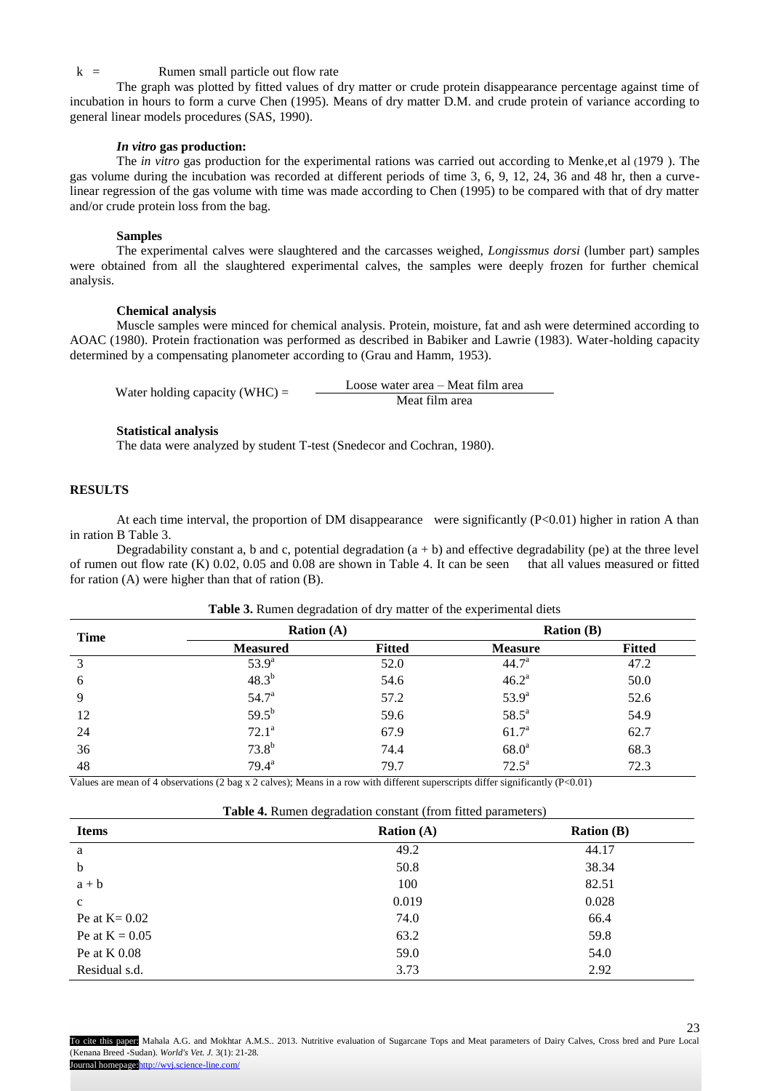# $k =$  Rumen small particle out flow rate

The graph was plotted by fitted values of dry matter or crude protein disappearance percentage against time of incubation in hours to form a curve Chen (1995). Means of dry matter D.M. and crude protein of variance according to general linear models procedures (SAS, 1990).

#### *In vitro* **gas production:**

The *in vitro* gas production for the experimental rations was carried out according to Menke,et al (1979 ). The gas volume during the incubation was recorded at different periods of time 3, 6, 9, 12, 24, 36 and 48 hr, then a curvelinear regression of the gas volume with time was made according to Chen (1995) to be compared with that of dry matter and/or crude protein loss from the bag.

#### **Samples**

The experimental calves were slaughtered and the carcasses weighed, *Longissmus dorsi* (lumber part) samples were obtained from all the slaughtered experimental calves, the samples were deeply frozen for further chemical analysis.

# **Chemical analysis**

Muscle samples were minced for chemical analysis. Protein, moisture, fat and ash were determined according to AOAC (1980). Protein fractionation was performed as described in Babiker and Lawrie (1983). Water-holding capacity determined by a compensating planometer according to (Grau and Hamm, 1953).

Water holding capacity (WHC) =  $\qquad \qquad$  Loose water area – Meat film area Meat film area

## **Statistical analysis**

The data were analyzed by student T-test (Snedecor and Cochran, 1980).

# **RESULTS**

At each time interval, the proportion of DM disappearance were significantly (P<0.01) higher in ration A than in ration B Table 3.

Degradability constant a, b and c, potential degradation  $(a + b)$  and effective degradability (pe) at the three level of rumen out flow rate (K) 0.02, 0.05 and 0.08 are shown in Table 4. It can be seen that all values measured or fitted for ration (A) were higher than that of ration (B).

| <b>Time</b> |                 | Ration $(A)$  |                   | <b>Ration</b> $(B)$ |
|-------------|-----------------|---------------|-------------------|---------------------|
|             | <b>Measured</b> | <b>Fitted</b> | <b>Measure</b>    | <b>Fitted</b>       |
| 3           | $53.9^{\circ}$  | 52.0          | 44.7 <sup>a</sup> | 47.2                |
| 6           | $48.3^{b}$      | 54.6          | $46.2^a$          | 50.0                |
| 9           | $54.7^{\rm a}$  | 57.2          | $53.9^{a}$        | 52.6                |
| 12          | $59.5^{b}$      | 59.6          | $58.5^a$          | 54.9                |
| 24          | $72.1^a$        | 67.9          | 61.7 <sup>a</sup> | 62.7                |
| 36          | $73.8^{b}$      | 74.4          | 68.0 <sup>a</sup> | 68.3                |
| 48          | $79.4^a$        | 79.7          | $72.5^{\text{a}}$ | 72.3                |

#### **Table 3.** Rumen degradation of dry matter of the experimental diets

Values are mean of 4 observations (2 bag x 2 calves); Means in a row with different superscripts differ significantly  $(P<0.01)$ 

|                  | $\circ$<br>.        | $ -$<br>$\sim$      |
|------------------|---------------------|---------------------|
| <b>Items</b>     | <b>Ration</b> $(A)$ | <b>Ration</b> $(B)$ |
| a                | 49.2                | 44.17               |
| $\mathbf b$      | 50.8                | 38.34               |
| $a + b$          | 100                 | 82.51               |
| $\mathbf c$      | 0.019               | 0.028               |
| Pe at $K = 0.02$ | 74.0                | 66.4                |
| Pe at $K = 0.05$ | 63.2                | 59.8                |
| Pe at $K$ 0.08   | 59.0                | 54.0                |
| Residual s.d.    | 3.73                | 2.92                |

# **Table 4.** Rumen degradation constant (from fitted parameters)

23 To cite this paper: Mahala A.G. and Mokhtar A.M.S.. 2013. Nutritive evaluation of Sugarcane Tops and Meat parameters of Dairy Calves, Cross bred and Pure Local (Kenana Breed -Sudan). *World's Vet. J.* 3(1): 21-28. Journal homepage: http://wvj.science-line.com/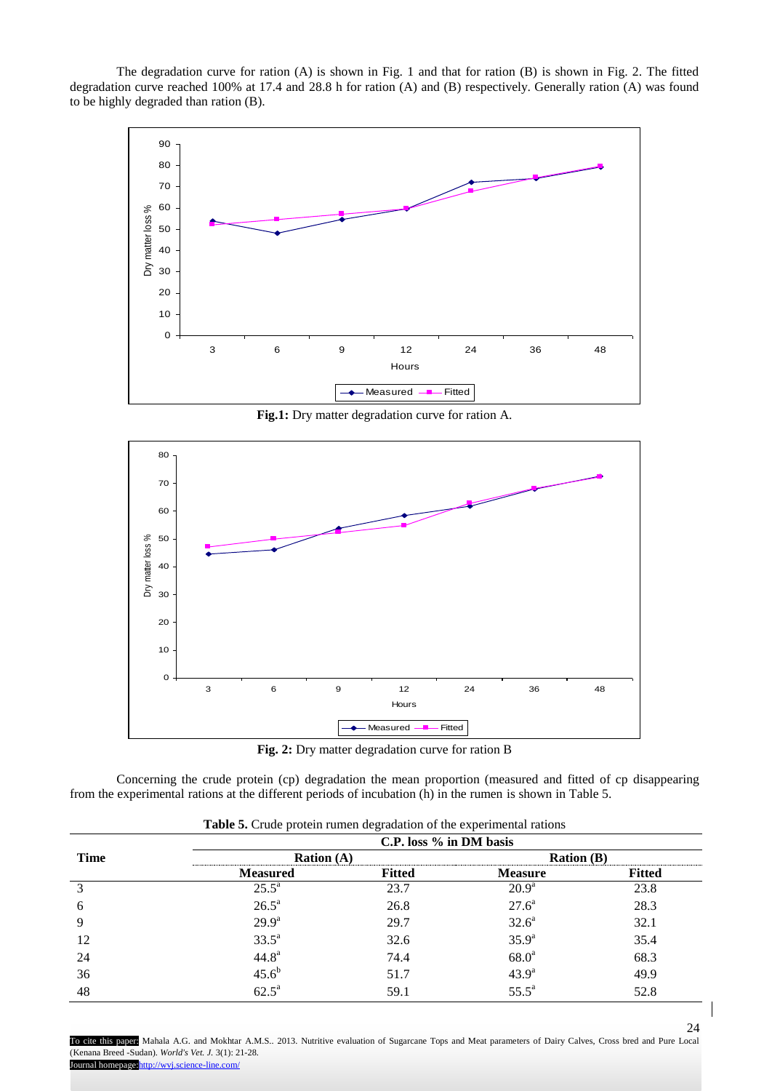The degradation curve for ration (A) is shown in Fig. 1 and that for ration (B) is shown in Fig. 2. The fitted degradation curve reached 100% at 17.4 and 28.8 h for ration (A) and (B) respectively. Generally ration (A) was found to be highly degraded than ration (B).



**Fig.1:** Dry matter degradation curve for ration A.



**Fig. 2:** Dry matter degradation curve for ration B

Concerning the crude protein (cp) degradation the mean proportion (measured and fitted of cp disappearing from the experimental rations at the different periods of incubation (h) in the rumen is shown in Table 5.

|             | л.                  | ັ                       | $\overline{\phantom{a}}$ |               |
|-------------|---------------------|-------------------------|--------------------------|---------------|
| <b>Time</b> |                     | C.P. loss % in DM basis |                          |               |
|             | <b>Ration</b> $(A)$ |                         | <b>Ration</b> (B)        |               |
|             | <b>Measured</b>     | <b>Fitted</b>           | <b>Measure</b>           | <b>Fitted</b> |
| 3           | $25.5^{\circ}$      | 23.7                    | $20.9^{\rm a}$           | 23.8          |
| 6           | $26.5^a$            | 26.8                    | $27.6^a$                 | 28.3          |
| 9           | $29.9^{\rm a}$      | 29.7                    | 32.6 <sup>a</sup>        | 32.1          |
| 12          | $33.5^{\circ}$      | 32.6                    | $35.9^{a}$               | 35.4          |
| 24          | 44.8 <sup>a</sup>   | 74.4                    | 68.0 <sup>a</sup>        | 68.3          |
| 36          | $45.6^{b}$          | 51.7                    | $43.9^{\rm a}$           | 49.9          |
| 48          | $62.5^a$            | 59.1                    | $55.5^{\circ}$           | 52.8          |

**Table 5.** Crude protein rumen degradation of the experimental rations

24 To cite this paper: Mahala A.G. and Mokhtar A.M.S.. 2013. Nutritive evaluation of Sugarcane Tops and Meat parameters of Dairy Calves, Cross bred and Pure Local (Kenana Breed -Sudan). *World's Vet. J.* 3(1): 21-28. Journal homepage: http://wvj.science-line.com/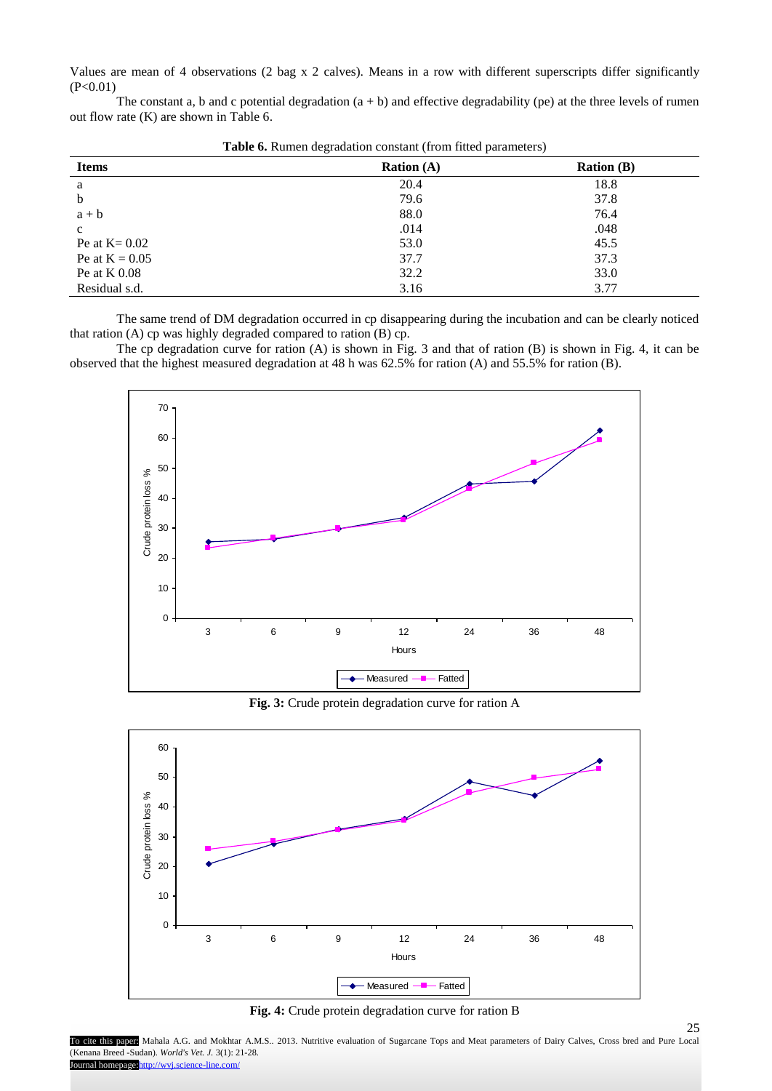Values are mean of 4 observations (2 bag x 2 calves). Means in a row with different superscripts differ significantly  $(P<0.01)$ 

The constant a, b and c potential degradation  $(a + b)$  and effective degradability (pe) at the three levels of rumen out flow rate (K) are shown in Table 6.

| <b>Items</b>     | $\tilde{}$<br>$\overline{\phantom{a}}$<br><b>Ration</b> $(A)$ | <b>Ration</b> $(B)$ |
|------------------|---------------------------------------------------------------|---------------------|
| a                | 20.4                                                          | 18.8                |
| b                | 79.6                                                          | 37.8                |
| $a + b$          | 88.0                                                          | 76.4                |
| $\mathbf{C}$     | .014                                                          | .048                |
| Pe at $K = 0.02$ | 53.0                                                          | 45.5                |
| Pe at $K = 0.05$ | 37.7                                                          | 37.3                |
| Pe at $K$ 0.08   | 32.2                                                          | 33.0                |
| Residual s.d.    | 3.16                                                          | 3.77                |

**Table 6.** Rumen degradation constant (from fitted parameters)

The same trend of DM degradation occurred in cp disappearing during the incubation and can be clearly noticed that ration (A) cp was highly degraded compared to ration (B) cp.

The cp degradation curve for ration (A) is shown in Fig. 3 and that of ration (B) is shown in Fig. 4, it can be observed that the highest measured degradation at 48 h was 62.5% for ration (A) and 55.5% for ration (B).



**Fig. 3:** Crude protein degradation curve for ration A



**Fig. 4:** Crude protein degradation curve for ration B

25

To cite this paper: Mahala A.G. and Mokhtar A.M.S.. 2013. Nutritive evaluation of Sugarcane Tops and Meat parameters of Dairy Calves, Cross bred and Pure Local (Kenana Breed -Sudan). *World's Vet. J.* 3(1): 21-28. Journal homepage: http://wvj.science-line.com/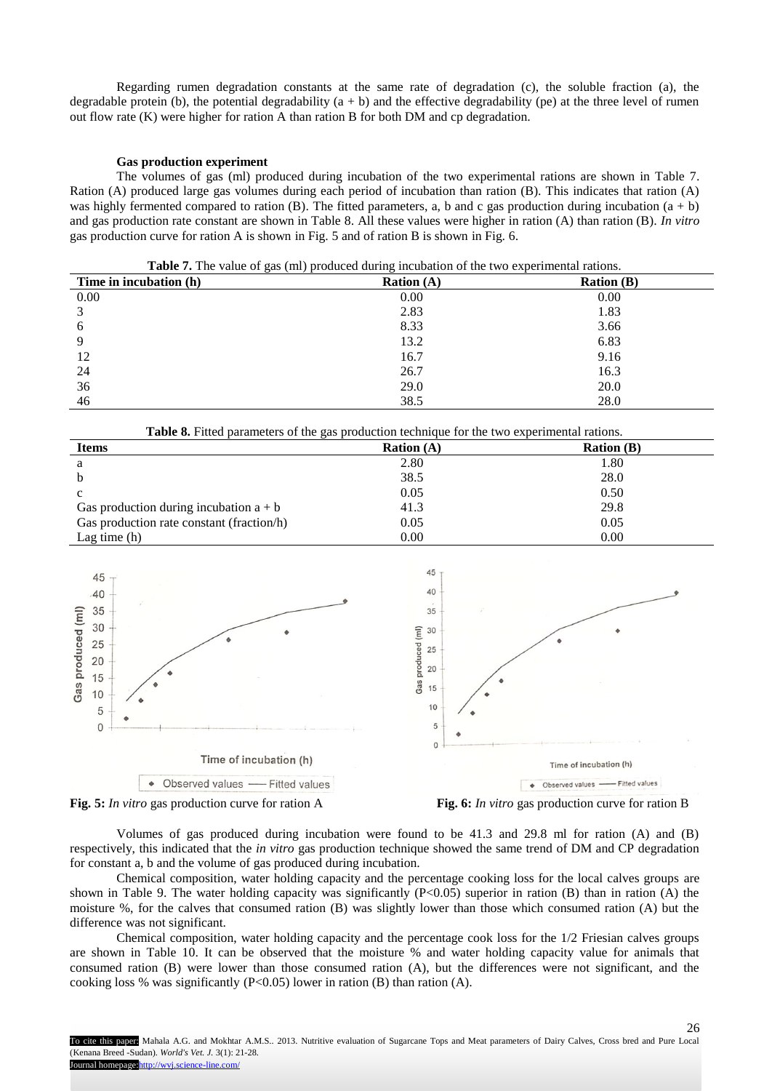Regarding rumen degradation constants at the same rate of degradation (c), the soluble fraction (a), the degradable protein (b), the potential degradability  $(a + b)$  and the effective degradability (pe) at the three level of rumen out flow rate (K) were higher for ration A than ration B for both DM and cp degradation.

# **Gas production experiment**

The volumes of gas (ml) produced during incubation of the two experimental rations are shown in Table 7. Ration (A) produced large gas volumes during each period of incubation than ration (B). This indicates that ration (A) was highly fermented compared to ration (B). The fitted parameters, a, b and c gas production during incubation  $(a + b)$ and gas production rate constant are shown in Table 8. All these values were higher in ration (A) than ration (B). *In vitro* gas production curve for ration A is shown in Fig. 5 and of ration B is shown in Fig. 6.

**Table 7.** The value of gas (ml) produced during incubation of the two experimental rations.

| Time in incubation (h) | Ration $(A)$ | <b>Ration (B)</b> |
|------------------------|--------------|-------------------|
| 0.00                   | 0.00         | 0.00              |
| 3                      | 2.83         | 1.83              |
| 6                      | 8.33         | 3.66              |
| 9                      | 13.2         | 6.83              |
| 12                     | 16.7         | 9.16              |
| 24                     | 26.7         | 16.3              |
| 36                     | 29.0         | 20.0              |
| 46                     | 38.5         | 28.0              |

**Table 8.** Fitted parameters of the gas production technique for the two experimental rations. **Items Ration (A) Ration (A) Ration (B) Ration (B)** a 2.80 1.80  $38.5$  28.0 c 0.05 0.50 Gas production during incubation  $a + b$  41.3 29.8 Gas production rate constant (fraction/h)  $0.05$  0.05 0.05 0.00 0.00

 $\text{Lag time (h)}$  0.00 0.00



Volumes of gas produced during incubation were found to be 41.3 and 29.8 ml for ration (A) and (B) respectively, this indicated that the *in vitro* gas production technique showed the same trend of DM and CP degradation for constant a, b and the volume of gas produced during incubation.

Chemical composition, water holding capacity and the percentage cooking loss for the local calves groups are shown in Table 9. The water holding capacity was significantly  $(P<0.05)$  superior in ration  $(B)$  than in ration  $(A)$  the moisture %, for the calves that consumed ration (B) was slightly lower than those which consumed ration (A) but the difference was not significant.

Chemical composition, water holding capacity and the percentage cook loss for the 1/2 Friesian calves groups are shown in Table 10. It can be observed that the moisture % and water holding capacity value for animals that consumed ration (B) were lower than those consumed ration (A), but the differences were not significant, and the cooking loss % was significantly ( $P<0.05$ ) lower in ration (B) than ration (A).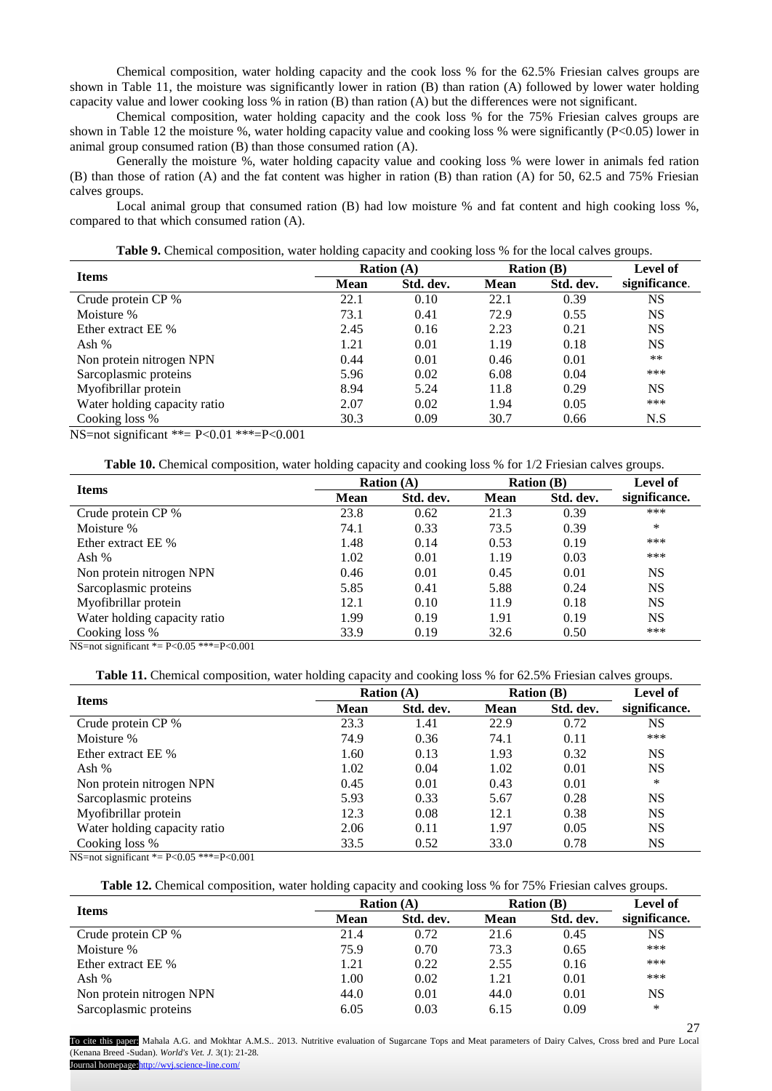Chemical composition, water holding capacity and the cook loss % for the 62.5% Friesian calves groups are shown in Table 11, the moisture was significantly lower in ration (B) than ration (A) followed by lower water holding capacity value and lower cooking loss % in ration (B) than ration (A) but the differences were not significant.

Chemical composition, water holding capacity and the cook loss % for the 75% Friesian calves groups are shown in Table 12 the moisture %, water holding capacity value and cooking loss % were significantly (P<0.05) lower in animal group consumed ration (B) than those consumed ration (A).

Generally the moisture %, water holding capacity value and cooking loss % were lower in animals fed ration (B) than those of ration (A) and the fat content was higher in ration (B) than ration (A) for 50, 62.5 and 75% Friesian calves groups.

Local animal group that consumed ration (B) had low moisture % and fat content and high cooking loss %, compared to that which consumed ration (A).

**Table 9.** Chemical composition, water holding capacity and cooking loss % for the local calves groups.

| <b>Items</b>                 | <b>Ration</b> $(A)$ |           | <b>Ration</b> (B) |           | Level of      |
|------------------------------|---------------------|-----------|-------------------|-----------|---------------|
|                              | <b>Mean</b>         | Std. dev. | <b>Mean</b>       | Std. dev. | significance. |
| Crude protein CP %           | 22.1                | 0.10      | 22.1              | 0.39      | NS            |
| Moisture %                   | 73.1                | 0.41      | 72.9              | 0.55      | <b>NS</b>     |
| Ether extract EE %           | 2.45                | 0.16      | 2.23              | 0.21      | <b>NS</b>     |
| Ash %                        | 1.21                | 0.01      | 1.19              | 0.18      | <b>NS</b>     |
| Non protein nitrogen NPN     | 0.44                | 0.01      | 0.46              | 0.01      | **            |
| Sarcoplasmic proteins        | 5.96                | 0.02      | 6.08              | 0.04      | ***           |
| Myofibrillar protein         | 8.94                | 5.24      | 11.8              | 0.29      | NS            |
| Water holding capacity ratio | 2.07                | 0.02      | 1.94              | 0.05      | ***           |
| Cooking loss %               | 30.3                | 0.09      | 30.7              | 0.66      | N.S           |

NS=not significant \*\*=  $P<0.01$  \*\*\*= $P<0.001$ 

**Table 10.** Chemical composition, water holding capacity and cooking loss % for  $1/2$  Friesian calves groups.

|                                                                                                                                                                                                                                                                                                                               | <b>Ration</b> $(A)$ |           | <b>Ration</b> (B) |           | Level of      |
|-------------------------------------------------------------------------------------------------------------------------------------------------------------------------------------------------------------------------------------------------------------------------------------------------------------------------------|---------------------|-----------|-------------------|-----------|---------------|
| <b>Items</b>                                                                                                                                                                                                                                                                                                                  | <b>Mean</b>         | Std. dev. | <b>Mean</b>       | Std. dev. | significance. |
| Crude protein CP %                                                                                                                                                                                                                                                                                                            | 23.8                | 0.62      | 21.3              | 0.39      | ***           |
| Moisture %                                                                                                                                                                                                                                                                                                                    | 74.1                | 0.33      | 73.5              | 0.39      | ∗             |
| Ether extract EE %                                                                                                                                                                                                                                                                                                            | 1.48                | 0.14      | 0.53              | 0.19      | ***           |
| Ash %                                                                                                                                                                                                                                                                                                                         | 1.02                | 0.01      | 1.19              | 0.03      | ***           |
| Non protein nitrogen NPN                                                                                                                                                                                                                                                                                                      | 0.46                | 0.01      | 0.45              | 0.01      | <b>NS</b>     |
| Sarcoplasmic proteins                                                                                                                                                                                                                                                                                                         | 5.85                | 0.41      | 5.88              | 0.24      | NS            |
| Myofibrillar protein                                                                                                                                                                                                                                                                                                          | 12.1                | 0.10      | 11.9              | 0.18      | <b>NS</b>     |
| Water holding capacity ratio                                                                                                                                                                                                                                                                                                  | 1.99                | 0.19      | 1.91              | 0.19      | <b>NS</b>     |
| Cooking loss %<br>$\mathbf{v}$ . $\mathbf{v}$ . $\mathbf{v}$ . $\mathbf{v}$ . $\mathbf{v}$ . $\mathbf{v}$ . $\mathbf{v}$ . $\mathbf{v}$ . $\mathbf{v}$ . $\mathbf{v}$ . $\mathbf{v}$ . $\mathbf{v}$ . $\mathbf{v}$ . $\mathbf{v}$ . $\mathbf{v}$ . $\mathbf{v}$ . $\mathbf{v}$ . $\mathbf{v}$ . $\mathbf{v}$ . $\mathbf{v}$ . | 33.9                | 0.19      | 32.6              | 0.50      | ***           |

NS=not significant \*=  $P < 0.05$  \*\*\*= $P < 0.001$ 

**Table 11.** Chemical composition, water holding capacity and cooking loss % for 62.5% Friesian calves groups.

| <b>Items</b>                 | <b>Ration</b> $(A)$ |           | <b>Ration</b> (B) |           | <b>Level of</b> |
|------------------------------|---------------------|-----------|-------------------|-----------|-----------------|
|                              | <b>Mean</b>         | Std. dev. | <b>Mean</b>       | Std. dev. | significance.   |
| Crude protein CP %           | 23.3                | 1.41      | 22.9              | 0.72      | NS              |
| Moisture %                   | 74.9                | 0.36      | 74.1              | 0.11      | ***             |
| Ether extract EE %           | 1.60                | 0.13      | 1.93              | 0.32      | NS              |
| Ash %                        | 1.02                | 0.04      | 1.02              | 0.01      | NS              |
| Non protein nitrogen NPN     | 0.45                | 0.01      | 0.43              | 0.01      | *               |
| Sarcoplasmic proteins        | 5.93                | 0.33      | 5.67              | 0.28      | NS              |
| Myofibrillar protein         | 12.3                | 0.08      | 12.1              | 0.38      | NS              |
| Water holding capacity ratio | 2.06                | 0.11      | 1.97              | 0.05      | NS              |
| Cooking loss %               | 33.5                | 0.52      | 33.0              | 0.78      | NS              |

NS=not significant \*=  $P < 0.05$  \*\*\*= $P < 0.001$ 

**Table 12.** Chemical composition, water holding capacity and cooking loss % for 75% Friesian calves groups.

|                          | <b>Ration</b> $(A)$ |           | <b>Ration</b> (B) |           | <b>Level of</b> |
|--------------------------|---------------------|-----------|-------------------|-----------|-----------------|
| <b>Items</b>             | <b>Mean</b>         | Std. dev. | <b>Mean</b>       | Std. dev. | significance.   |
| Crude protein CP %       | 21.4                | 0.72      | 21.6              | 0.45      | NS              |
| Moisture %               | 75.9                | 0.70      | 73.3              | 0.65      | ***             |
| Ether extract EE %       | 1.21                | 0.22      | 2.55              | 0.16      | ***             |
| Ash %                    | l.00                | 0.02      | 1.21              | 0.01      | ***             |
| Non protein nitrogen NPN | 44.0                | 0.01      | 44.0              | 0.01      | <b>NS</b>       |
| Sarcoplasmic proteins    | 6.05                | 0.03      | 6.15              | 0.09      | ∗               |

To cite this paper: Mahala A.G. and Mokhtar A.M.S.. 2013. Nutritive evaluation of Sugarcane Tops and Meat parameters of Dairy Calves, Cross bred and Pure Local (Kenana Breed -Sudan). *World's Vet. J.* 3(1): 21-28. Journal homepage: http://wvj.science-line.com/

27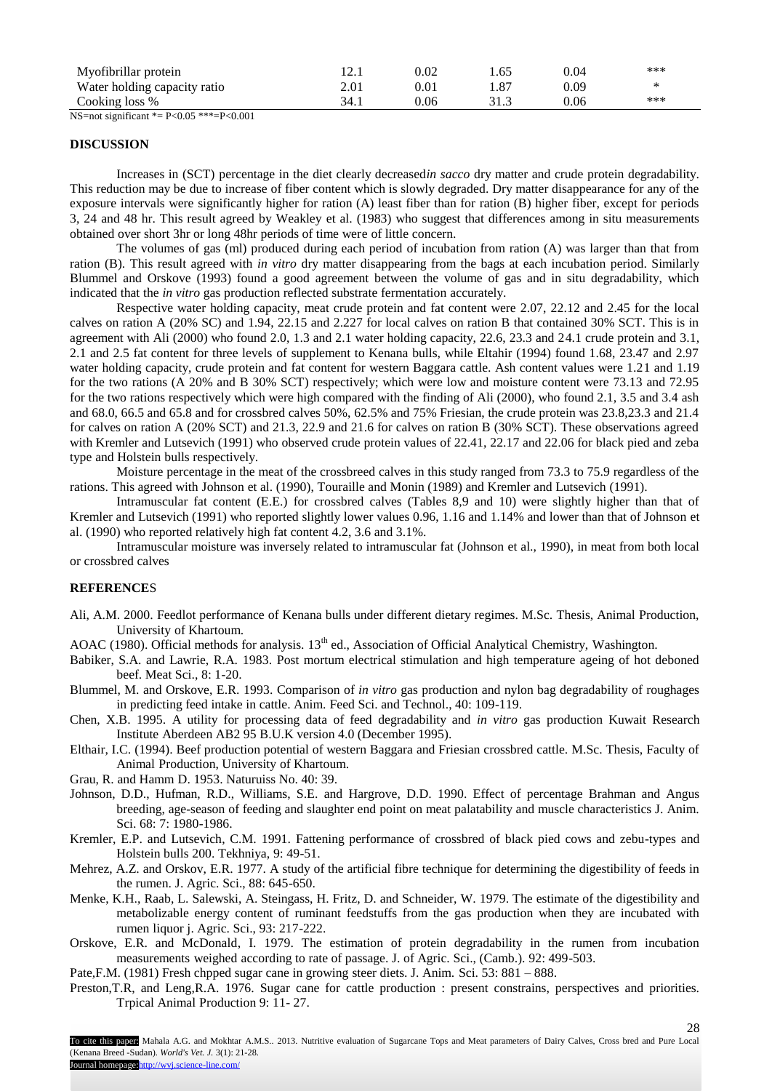| Myofibrillar protein         | 14. I | 0.02 |        | 0.04 | ***    |
|------------------------------|-------|------|--------|------|--------|
| Water holding capacity ratio | 2.01  | 0.01 |        | ).09 | $\ast$ |
| Cooking loss %               |       | 0.06 | ن. د ب | 0.06 | ***    |

NS=not significant  $E = P < 0.05$  \*\*\*=P $< 0.001$ 

#### **DISCUSSION**

Increases in (SCT) percentage in the diet clearly decreased*in sacco* dry matter and crude protein degradability. This reduction may be due to increase of fiber content which is slowly degraded. Dry matter disappearance for any of the exposure intervals were significantly higher for ration (A) least fiber than for ration (B) higher fiber, except for periods 3, 24 and 48 hr. This result agreed by Weakley et al. (1983) who suggest that differences among in situ measurements obtained over short 3hr or long 48hr periods of time were of little concern.

The volumes of gas (ml) produced during each period of incubation from ration (A) was larger than that from ration (B). This result agreed with *in vitro* dry matter disappearing from the bags at each incubation period. Similarly Blummel and Orskove (1993) found a good agreement between the volume of gas and in situ degradability, which indicated that the *in vitro* gas production reflected substrate fermentation accurately.

Respective water holding capacity, meat crude protein and fat content were 2.07, 22.12 and 2.45 for the local calves on ration A (20% SC) and 1.94, 22.15 and 2.227 for local calves on ration B that contained 30% SCT. This is in agreement with Ali (2000) who found 2.0, 1.3 and 2.1 water holding capacity, 22.6, 23.3 and 24.1 crude protein and 3.1, 2.1 and 2.5 fat content for three levels of supplement to Kenana bulls, while Eltahir (1994) found 1.68, 23.47 and 2.97 water holding capacity, crude protein and fat content for western Baggara cattle. Ash content values were 1.21 and 1.19 for the two rations (A 20% and B 30% SCT) respectively; which were low and moisture content were 73.13 and 72.95 for the two rations respectively which were high compared with the finding of Ali (2000), who found 2.1, 3.5 and 3.4 ash and 68.0, 66.5 and 65.8 and for crossbred calves 50%, 62.5% and 75% Friesian, the crude protein was 23.8,23.3 and 21.4 for calves on ration A (20% SCT) and 21.3, 22.9 and 21.6 for calves on ration B (30% SCT). These observations agreed with Kremler and Lutsevich (1991) who observed crude protein values of 22.41, 22.17 and 22.06 for black pied and zeba type and Holstein bulls respectively.

Moisture percentage in the meat of the crossbreed calves in this study ranged from 73.3 to 75.9 regardless of the rations. This agreed with Johnson et al. (1990), Touraille and Monin (1989) and Kremler and Lutsevich (1991).

Intramuscular fat content (E.E.) for crossbred calves (Tables 8,9 and 10) were slightly higher than that of Kremler and Lutsevich (1991) who reported slightly lower values 0.96, 1.16 and 1.14% and lower than that of Johnson et al. (1990) who reported relatively high fat content 4.2, 3.6 and 3.1%.

Intramuscular moisture was inversely related to intramuscular fat (Johnson et al., 1990), in meat from both local or crossbred calves

#### **REFERENCE**S

- Ali, A.M. 2000. Feedlot performance of Kenana bulls under different dietary regimes. M.Sc. Thesis, Animal Production, University of Khartoum.
- AOAC (1980). Official methods for analysis. 13<sup>th</sup> ed., Association of Official Analytical Chemistry, Washington.
- Babiker, S.A. and Lawrie, R.A. 1983. Post mortum electrical stimulation and high temperature ageing of hot deboned beef. Meat Sci., 8: 1-20.
- Blummel, M. and Orskove, E.R. 1993. Comparison of *in vitro* gas production and nylon bag degradability of roughages in predicting feed intake in cattle. Anim. Feed Sci. and Technol., 40: 109-119.
- Chen, X.B. 1995. A utility for processing data of feed degradability and *in vitro* gas production Kuwait Research Institute Aberdeen AB2 95 B.U.K version 4.0 (December 1995).
- Elthair, I.C. (1994). Beef production potential of western Baggara and Friesian crossbred cattle. M.Sc. Thesis, Faculty of Animal Production, University of Khartoum.
- Grau, R. and Hamm D. 1953. Naturuiss No. 40: 39.
- Johnson, D.D., Hufman, R.D., Williams, S.E. and Hargrove, D.D. 1990. Effect of percentage Brahman and Angus breeding, age-season of feeding and slaughter end point on meat palatability and muscle characteristics J. Anim. Sci. 68: 7: 1980-1986.
- Kremler, E.P. and Lutsevich, C.M. 1991. Fattening performance of crossbred of black pied cows and zebu-types and Holstein bulls 200. Tekhniya, 9: 49-51.
- Mehrez, A.Z. and Orskov, E.R. 1977. A study of the artificial fibre technique for determining the digestibility of feeds in the rumen. J. Agric. Sci., 88: 645-650.
- Menke, K.H., Raab, L. Salewski, A. Steingass, H. Fritz, D. and Schneider, W. 1979. The estimate of the digestibility and metabolizable energy content of ruminant feedstuffs from the gas production when they are incubated with rumen liquor j. Agric. Sci., 93: 217-222.
- Orskove, E.R. and McDonald, I. 1979. The estimation of protein degradability in the rumen from incubation measurements weighed according to rate of passage. J. of Agric. Sci., (Camb.). 92: 499-503.
- Pate,F.M. (1981) Fresh chpped sugar cane in growing steer diets. J. Anim. Sci. 53: 881 888.
- Preston,T.R, and Leng,R.A. 1976. Sugar cane for cattle production : present constrains, perspectives and priorities. Trpical Animal Production 9: 11- 27.